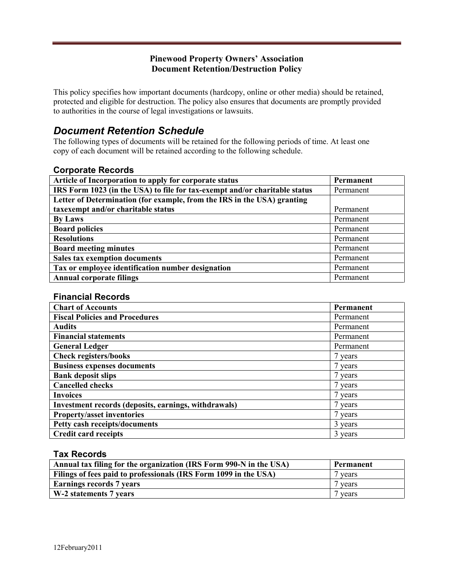### **Pinewood Property Owners' Association Document Retention/Destruction Policy**

This policy specifies how important documents (hardcopy, online or other media) should be retained, protected and eligible for destruction. The policy also ensures that documents are promptly provided to authorities in the course of legal investigations or lawsuits.

# *Document Retention Schedule*

The following types of documents will be retained for the following periods of time. At least one copy of each document will be retained according to the following schedule.

#### **Corporate Records**

| Article of Incorporation to apply for corporate status                     | Permanent |
|----------------------------------------------------------------------------|-----------|
| IRS Form 1023 (in the USA) to file for tax-exempt and/or charitable status | Permanent |
| Letter of Determination (for example, from the IRS in the USA) granting    |           |
| taxexempt and/or charitable status                                         | Permanent |
| <b>By Laws</b>                                                             | Permanent |
| <b>Board policies</b>                                                      | Permanent |
| <b>Resolutions</b>                                                         | Permanent |
| <b>Board meeting minutes</b>                                               | Permanent |
| <b>Sales tax exemption documents</b>                                       | Permanent |
| Tax or employee identification number designation                          | Permanent |
| <b>Annual corporate filings</b>                                            | Permanent |

#### **Financial Records**

| <b>Chart of Accounts</b>                             | Permanent |
|------------------------------------------------------|-----------|
| <b>Fiscal Policies and Procedures</b>                | Permanent |
| <b>Audits</b>                                        | Permanent |
| <b>Financial statements</b>                          | Permanent |
| <b>General Ledger</b>                                | Permanent |
| <b>Check registers/books</b>                         | 7 years   |
| <b>Business expenses documents</b>                   | 7 years   |
| <b>Bank deposit slips</b>                            | 7 years   |
| <b>Cancelled checks</b>                              | 7 years   |
| <b>Invoices</b>                                      | 7 years   |
| Investment records (deposits, earnings, withdrawals) | 7 years   |
| <b>Property/asset inventories</b>                    | 7 years   |
| Petty cash receipts/documents                        | 3 years   |
| <b>Credit card receipts</b>                          | 3 years   |

#### **Tax Records**

| Annual tax filing for the organization (IRS Form 990-N in the USA) | Permanent |
|--------------------------------------------------------------------|-----------|
| Filings of fees paid to professionals (IRS Form 1099 in the USA)   | vears     |
| <b>Earnings records 7 years</b>                                    | 7 years   |
| W-2 statements 7 years                                             | vears     |